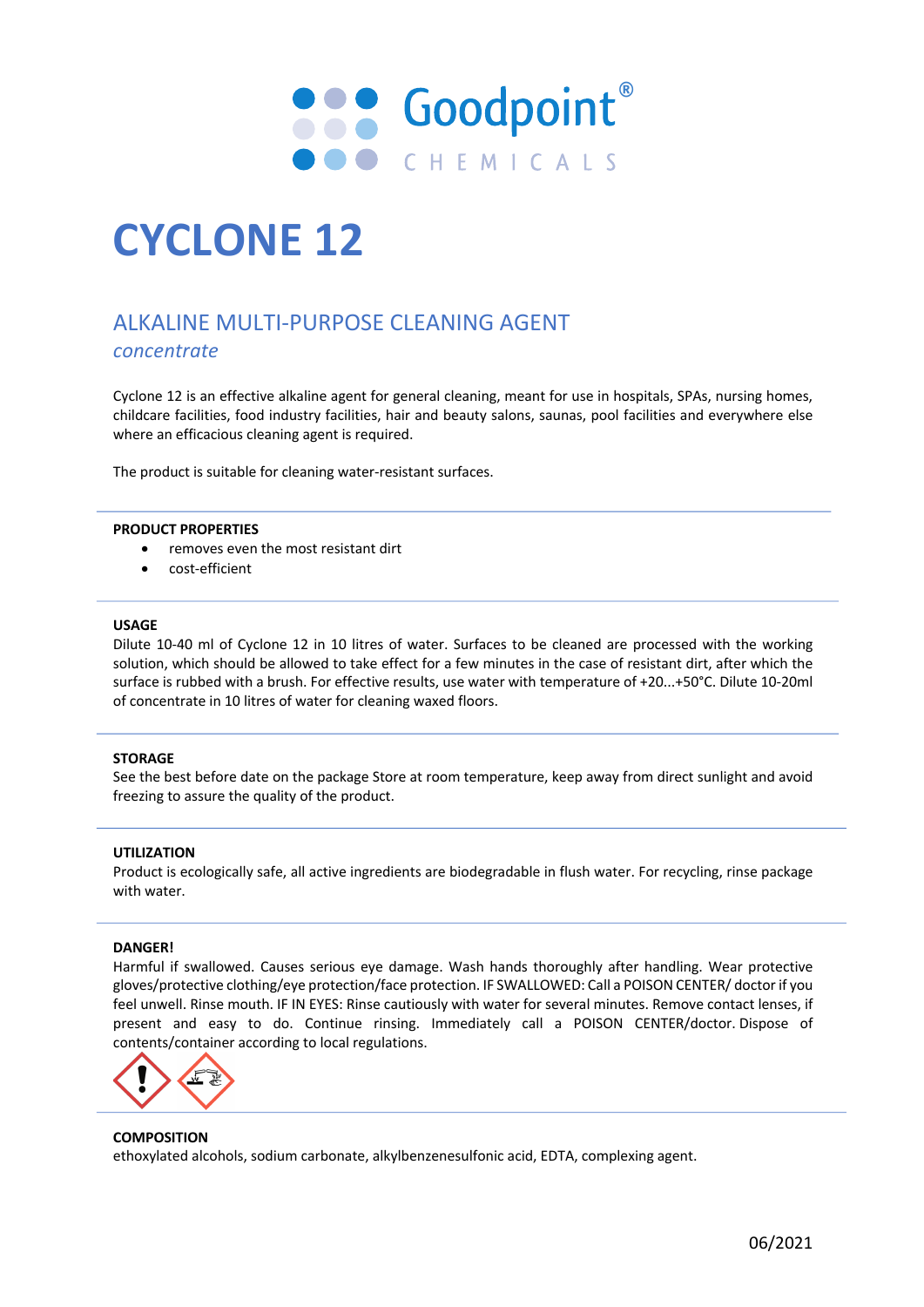

# **CYCLONE 12**

## ALKALINE MULTI-PURPOSE CLEANING AGENT *concentrate*

Cyclone 12 is an effective alkaline agent for general cleaning, meant for use in hospitals, SPAs, nursing homes, childcare facilities, food industry facilities, hair and beauty salons, saunas, pool facilities and everywhere else where an efficacious cleaning agent is required.

The product is suitable for cleaning water-resistant surfaces.

#### **PRODUCT PROPERTIES**

- removes even the most resistant dirt
- cost-efficient

#### **USAGE**

Dilute 10-40 ml of Cyclone 12 in 10 litres of water. Surfaces to be cleaned are processed with the working solution, which should be allowed to take effect for a few minutes in the case of resistant dirt, after which the surface is rubbed with a brush. For effective results, use water with temperature of +20...+50°C. Dilute 10-20ml of concentrate in 10 litres of water for cleaning waxed floors.

#### **STORAGE**

See the best before date on the package Store at room temperature, keep away from direct sunlight and avoid freezing to assure the quality of the product.

#### **UTILIZATION**

Product is ecologically safe, all active ingredients are biodegradable in flush water. For recycling, rinse package with water.

#### **DANGER!**

Harmful if swallowed. Causes serious eye damage. Wash hands thoroughly after handling. Wear protective gloves/protective clothing/eye protection/face protection. IF SWALLOWED: Call a POISON CENTER/ doctor if you feel unwell. Rinse mouth. IF IN EYES: Rinse cautiously with water for several minutes. Remove contact lenses, if present and easy to do. Continue rinsing. Immediately call a POISON CENTER/doctor. Dispose of contents/container according to local regulations.



#### **COMPOSITION** ethoxylated alcohols, sodium carbonate, alkylbenzenesulfonic acid, EDTA, complexing agent.